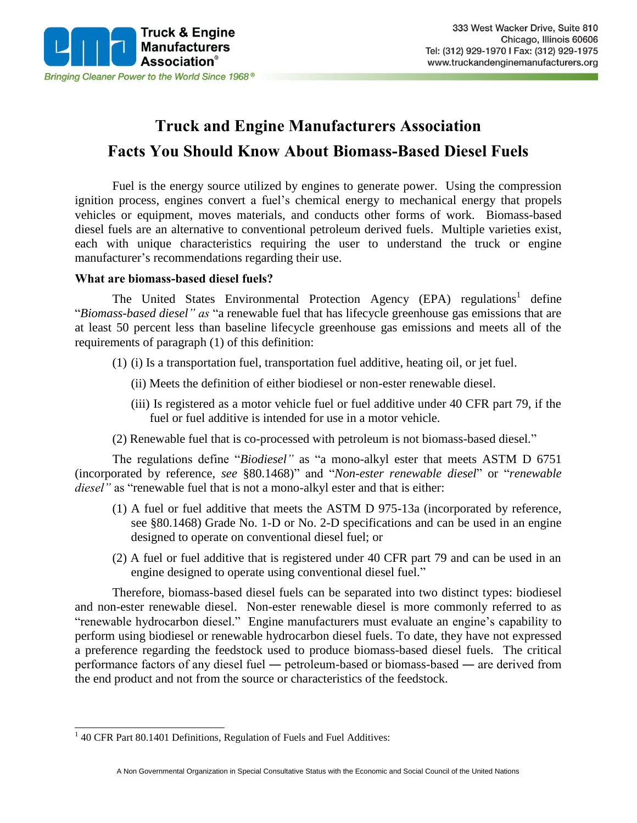

# **Truck and Engine Manufacturers Association Facts You Should Know About Biomass-Based Diesel Fuels**

Fuel is the energy source utilized by engines to generate power. Using the compression ignition process, engines convert a fuel's chemical energy to mechanical energy that propels vehicles or equipment, moves materials, and conducts other forms of work. Biomass-based diesel fuels are an alternative to conventional petroleum derived fuels. Multiple varieties exist, each with unique characteristics requiring the user to understand the truck or engine manufacturer's recommendations regarding their use.

#### **What are biomass-based diesel fuels?**

The United States Environmental Protection Agency (EPA) regulations<sup>1</sup> define "*Biomass-based diesel" as* "a renewable fuel that has lifecycle greenhouse gas emissions that are at least 50 percent less than baseline lifecycle greenhouse gas emissions and meets all of the requirements of paragraph (1) of this definition:

- (1) (i) Is a transportation fuel, transportation fuel additive, heating oil, or jet fuel.
	- (ii) Meets the definition of either biodiesel or non-ester renewable diesel.
	- (iii) Is registered as a motor vehicle fuel or fuel additive under 40 CFR part 79, if the fuel or fuel additive is intended for use in a motor vehicle.
- (2) Renewable fuel that is co-processed with petroleum is not biomass-based diesel."

The regulations define "*Biodiesel"* as "a mono-alkyl ester that meets ASTM D 6751 (incorporated by reference, *see* §80.1468)" and "*Non-ester renewable diesel*" or "*renewable diesel*" as "renewable fuel that is not a mono-alkyl ester and that is either:

- (1) A fuel or fuel additive that meets the ASTM D 975-13a (incorporated by reference, see §80.1468) Grade No. 1-D or No. 2-D specifications and can be used in an engine designed to operate on conventional diesel fuel; or
- (2) A fuel or fuel additive that is registered under 40 CFR part 79 and can be used in an engine designed to operate using conventional diesel fuel."

Therefore, biomass-based diesel fuels can be separated into two distinct types: biodiesel and non-ester renewable diesel. Non-ester renewable diesel is more commonly referred to as "renewable hydrocarbon diesel." Engine manufacturers must evaluate an engine's capability to perform using biodiesel or renewable hydrocarbon diesel fuels. To date, they have not expressed a preference regarding the feedstock used to produce biomass-based diesel fuels. The critical performance factors of any diesel fuel ― petroleum-based or biomass-based ― are derived from the end product and not from the source or characteristics of the feedstock.

<sup>&</sup>lt;sup>1</sup> 40 CFR Part 80.1401 Definitions, Regulation of Fuels and Fuel Additives: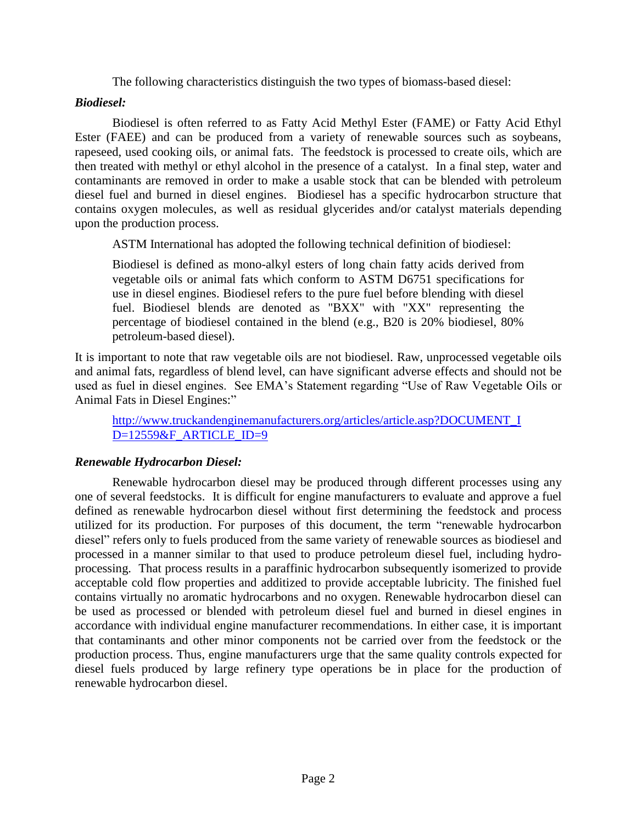The following characteristics distinguish the two types of biomass-based diesel:

## *Biodiesel:*

Biodiesel is often referred to as Fatty Acid Methyl Ester (FAME) or Fatty Acid Ethyl Ester (FAEE) and can be produced from a variety of renewable sources such as soybeans, rapeseed, used cooking oils, or animal fats. The feedstock is processed to create oils, which are then treated with methyl or ethyl alcohol in the presence of a catalyst. In a final step, water and contaminants are removed in order to make a usable stock that can be blended with petroleum diesel fuel and burned in diesel engines. Biodiesel has a specific hydrocarbon structure that contains oxygen molecules, as well as residual glycerides and/or catalyst materials depending upon the production process.

ASTM International has adopted the following technical definition of biodiesel:

Biodiesel is defined as mono-alkyl esters of long chain fatty acids derived from vegetable oils or animal fats which conform to ASTM D6751 specifications for use in diesel engines. Biodiesel refers to the pure fuel before blending with diesel fuel. Biodiesel blends are denoted as "BXX" with "XX" representing the percentage of biodiesel contained in the blend (e.g., B20 is 20% biodiesel, 80% petroleum-based diesel).

It is important to note that raw vegetable oils are not biodiesel. Raw, unprocessed vegetable oils and animal fats, regardless of blend level, can have significant adverse effects and should not be used as fuel in diesel engines. See EMA's Statement regarding "Use of Raw Vegetable Oils or Animal Fats in Diesel Engines:"

[http://www.truckandenginemanufacturers.org/articles/article.asp?DOCUMENT\\_I](http://www.truckandenginemanufacturers.org/articles/article.asp?DOCUMENT_ID=12559&F_ARTICLE_ID=9) [D=12559&F\\_ARTICLE\\_ID=9](http://www.truckandenginemanufacturers.org/articles/article.asp?DOCUMENT_ID=12559&F_ARTICLE_ID=9)

## *Renewable Hydrocarbon Diesel:*

Renewable hydrocarbon diesel may be produced through different processes using any one of several feedstocks. It is difficult for engine manufacturers to evaluate and approve a fuel defined as renewable hydrocarbon diesel without first determining the feedstock and process utilized for its production. For purposes of this document, the term "renewable hydrocarbon diesel" refers only to fuels produced from the same variety of renewable sources as biodiesel and processed in a manner similar to that used to produce petroleum diesel fuel, including hydroprocessing. That process results in a paraffinic hydrocarbon subsequently isomerized to provide acceptable cold flow properties and additized to provide acceptable lubricity. The finished fuel contains virtually no aromatic hydrocarbons and no oxygen. Renewable hydrocarbon diesel can be used as processed or blended with petroleum diesel fuel and burned in diesel engines in accordance with individual engine manufacturer recommendations. In either case, it is important that contaminants and other minor components not be carried over from the feedstock or the production process. Thus, engine manufacturers urge that the same quality controls expected for diesel fuels produced by large refinery type operations be in place for the production of renewable hydrocarbon diesel.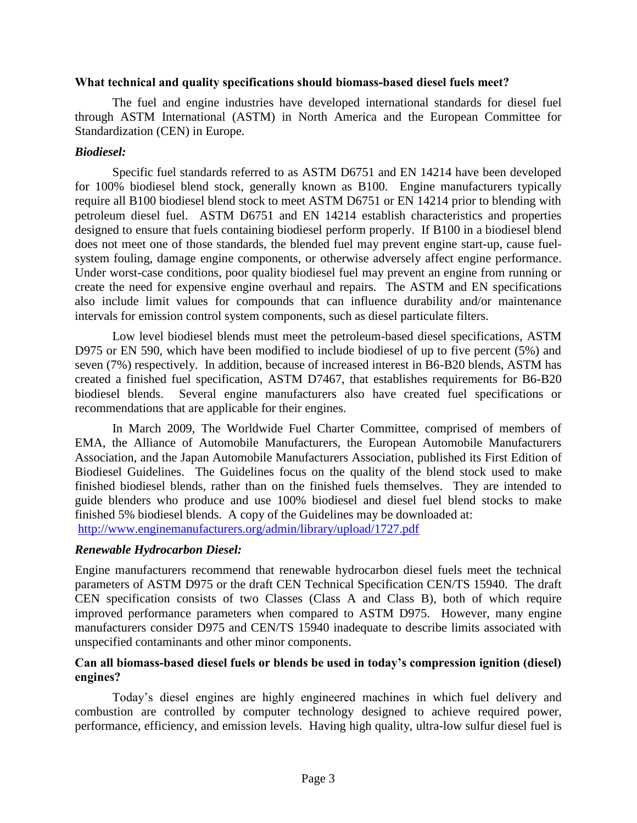#### **What technical and quality specifications should biomass-based diesel fuels meet?**

The fuel and engine industries have developed international standards for diesel fuel through ASTM International (ASTM) in North America and the European Committee for Standardization (CEN) in Europe.

#### *Biodiesel:*

Specific fuel standards referred to as ASTM D6751 and EN 14214 have been developed for 100% biodiesel blend stock, generally known as B100. Engine manufacturers typically require all B100 biodiesel blend stock to meet ASTM D6751 or EN 14214 prior to blending with petroleum diesel fuel. ASTM D6751 and EN 14214 establish characteristics and properties designed to ensure that fuels containing biodiesel perform properly. If B100 in a biodiesel blend does not meet one of those standards, the blended fuel may prevent engine start-up, cause fuelsystem fouling, damage engine components, or otherwise adversely affect engine performance. Under worst-case conditions, poor quality biodiesel fuel may prevent an engine from running or create the need for expensive engine overhaul and repairs. The ASTM and EN specifications also include limit values for compounds that can influence durability and/or maintenance intervals for emission control system components, such as diesel particulate filters.

Low level biodiesel blends must meet the petroleum-based diesel specifications, ASTM D975 or EN 590, which have been modified to include biodiesel of up to five percent (5%) and seven (7%) respectively. In addition, because of increased interest in B6-B20 blends, ASTM has created a finished fuel specification, ASTM D7467, that establishes requirements for B6-B20 biodiesel blends. Several engine manufacturers also have created fuel specifications or recommendations that are applicable for their engines.

In March 2009, The Worldwide Fuel Charter Committee, comprised of members of EMA, the Alliance of Automobile Manufacturers, the European Automobile Manufacturers Association, and the Japan Automobile Manufacturers Association, published its First Edition of Biodiesel Guidelines. The Guidelines focus on the quality of the blend stock used to make finished biodiesel blends, rather than on the finished fuels themselves. They are intended to guide blenders who produce and use 100% biodiesel and diesel fuel blend stocks to make finished 5% biodiesel blends. A copy of the Guidelines may be downloaded at: <http://www.enginemanufacturers.org/admin/library/upload/1727.pdf>

#### *Renewable Hydrocarbon Diesel:*

Engine manufacturers recommend that renewable hydrocarbon diesel fuels meet the technical parameters of ASTM D975 or the draft CEN Technical Specification CEN/TS 15940. The draft CEN specification consists of two Classes (Class A and Class B), both of which require improved performance parameters when compared to ASTM D975. However, many engine manufacturers consider D975 and CEN/TS 15940 inadequate to describe limits associated with unspecified contaminants and other minor components.

## **Can all biomass-based diesel fuels or blends be used in today's compression ignition (diesel) engines?**

Today's diesel engines are highly engineered machines in which fuel delivery and combustion are controlled by computer technology designed to achieve required power, performance, efficiency, and emission levels. Having high quality, ultra-low sulfur diesel fuel is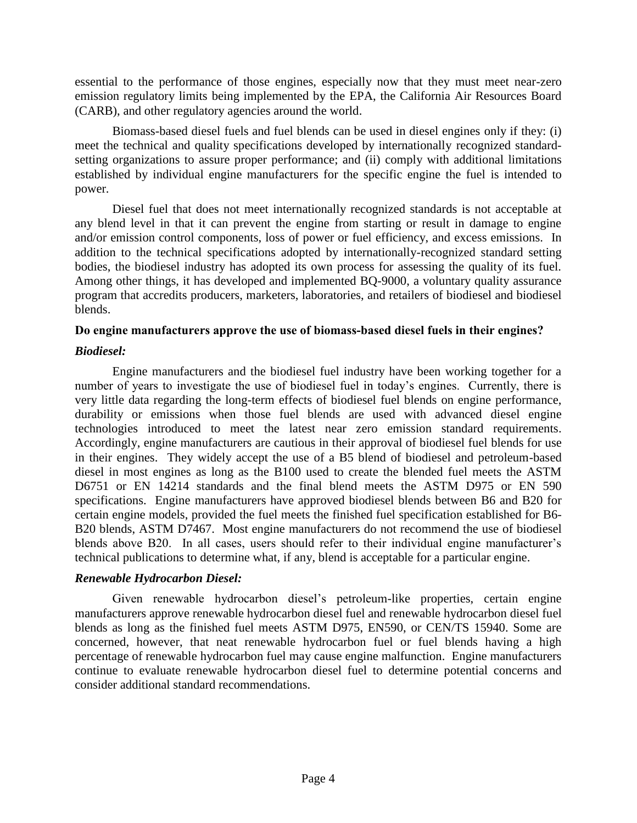essential to the performance of those engines, especially now that they must meet near-zero emission regulatory limits being implemented by the EPA, the California Air Resources Board (CARB), and other regulatory agencies around the world.

Biomass-based diesel fuels and fuel blends can be used in diesel engines only if they: (i) meet the technical and quality specifications developed by internationally recognized standardsetting organizations to assure proper performance; and (ii) comply with additional limitations established by individual engine manufacturers for the specific engine the fuel is intended to power.

Diesel fuel that does not meet internationally recognized standards is not acceptable at any blend level in that it can prevent the engine from starting or result in damage to engine and/or emission control components, loss of power or fuel efficiency, and excess emissions. In addition to the technical specifications adopted by internationally-recognized standard setting bodies, the biodiesel industry has adopted its own process for assessing the quality of its fuel. Among other things, it has developed and implemented BQ-9000, a voluntary quality assurance program that accredits producers, marketers, laboratories, and retailers of biodiesel and biodiesel blends.

## **Do engine manufacturers approve the use of biomass-based diesel fuels in their engines?**

## *Biodiesel:*

Engine manufacturers and the biodiesel fuel industry have been working together for a number of years to investigate the use of biodiesel fuel in today's engines. Currently, there is very little data regarding the long-term effects of biodiesel fuel blends on engine performance, durability or emissions when those fuel blends are used with advanced diesel engine technologies introduced to meet the latest near zero emission standard requirements. Accordingly, engine manufacturers are cautious in their approval of biodiesel fuel blends for use in their engines. They widely accept the use of a B5 blend of biodiesel and petroleum-based diesel in most engines as long as the B100 used to create the blended fuel meets the ASTM D6751 or EN 14214 standards and the final blend meets the ASTM D975 or EN 590 specifications. Engine manufacturers have approved biodiesel blends between B6 and B20 for certain engine models, provided the fuel meets the finished fuel specification established for B6- B20 blends, ASTM D7467. Most engine manufacturers do not recommend the use of biodiesel blends above B20. In all cases, users should refer to their individual engine manufacturer's technical publications to determine what, if any, blend is acceptable for a particular engine.

## *Renewable Hydrocarbon Diesel:*

Given renewable hydrocarbon diesel's petroleum-like properties, certain engine manufacturers approve renewable hydrocarbon diesel fuel and renewable hydrocarbon diesel fuel blends as long as the finished fuel meets ASTM D975, EN590, or CEN/TS 15940. Some are concerned, however, that neat renewable hydrocarbon fuel or fuel blends having a high percentage of renewable hydrocarbon fuel may cause engine malfunction. Engine manufacturers continue to evaluate renewable hydrocarbon diesel fuel to determine potential concerns and consider additional standard recommendations.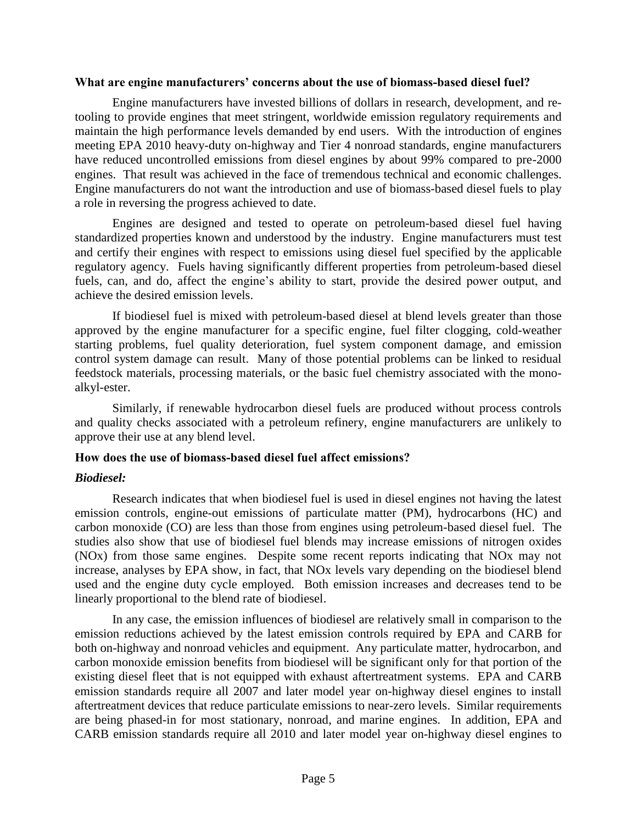#### **What are engine manufacturers' concerns about the use of biomass-based diesel fuel?**

Engine manufacturers have invested billions of dollars in research, development, and retooling to provide engines that meet stringent, worldwide emission regulatory requirements and maintain the high performance levels demanded by end users. With the introduction of engines meeting EPA 2010 heavy-duty on-highway and Tier 4 nonroad standards, engine manufacturers have reduced uncontrolled emissions from diesel engines by about 99% compared to pre-2000 engines. That result was achieved in the face of tremendous technical and economic challenges. Engine manufacturers do not want the introduction and use of biomass-based diesel fuels to play a role in reversing the progress achieved to date.

Engines are designed and tested to operate on petroleum-based diesel fuel having standardized properties known and understood by the industry. Engine manufacturers must test and certify their engines with respect to emissions using diesel fuel specified by the applicable regulatory agency. Fuels having significantly different properties from petroleum-based diesel fuels, can, and do, affect the engine's ability to start, provide the desired power output, and achieve the desired emission levels.

If biodiesel fuel is mixed with petroleum-based diesel at blend levels greater than those approved by the engine manufacturer for a specific engine, fuel filter clogging, cold-weather starting problems, fuel quality deterioration, fuel system component damage, and emission control system damage can result. Many of those potential problems can be linked to residual feedstock materials, processing materials, or the basic fuel chemistry associated with the monoalkyl-ester.

Similarly, if renewable hydrocarbon diesel fuels are produced without process controls and quality checks associated with a petroleum refinery, engine manufacturers are unlikely to approve their use at any blend level.

#### **How does the use of biomass-based diesel fuel affect emissions?**

## *Biodiesel:*

Research indicates that when biodiesel fuel is used in diesel engines not having the latest emission controls, engine-out emissions of particulate matter (PM), hydrocarbons (HC) and carbon monoxide (CO) are less than those from engines using petroleum-based diesel fuel. The studies also show that use of biodiesel fuel blends may increase emissions of nitrogen oxides (NOx) from those same engines. Despite some recent reports indicating that NOx may not increase, analyses by EPA show, in fact, that NOx levels vary depending on the biodiesel blend used and the engine duty cycle employed. Both emission increases and decreases tend to be linearly proportional to the blend rate of biodiesel.

In any case, the emission influences of biodiesel are relatively small in comparison to the emission reductions achieved by the latest emission controls required by EPA and CARB for both on-highway and nonroad vehicles and equipment. Any particulate matter, hydrocarbon, and carbon monoxide emission benefits from biodiesel will be significant only for that portion of the existing diesel fleet that is not equipped with exhaust aftertreatment systems. EPA and CARB emission standards require all 2007 and later model year on-highway diesel engines to install aftertreatment devices that reduce particulate emissions to near-zero levels. Similar requirements are being phased-in for most stationary, nonroad, and marine engines. In addition, EPA and CARB emission standards require all 2010 and later model year on-highway diesel engines to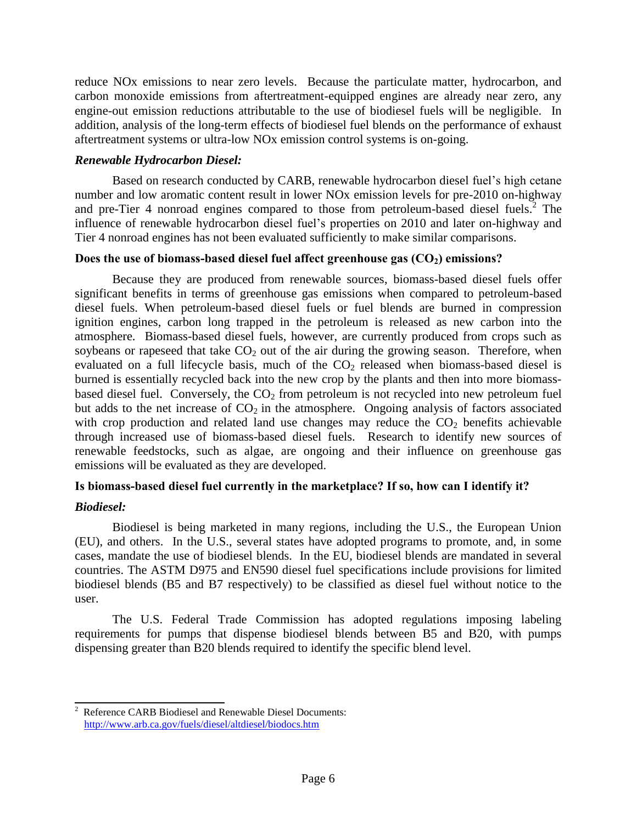reduce NOx emissions to near zero levels. Because the particulate matter, hydrocarbon, and carbon monoxide emissions from aftertreatment-equipped engines are already near zero, any engine-out emission reductions attributable to the use of biodiesel fuels will be negligible. In addition, analysis of the long-term effects of biodiesel fuel blends on the performance of exhaust aftertreatment systems or ultra-low NOx emission control systems is on-going.

## *Renewable Hydrocarbon Diesel:*

Based on research conducted by CARB, renewable hydrocarbon diesel fuel's high cetane number and low aromatic content result in lower NOx emission levels for pre-2010 on-highway and pre-Tier 4 nonroad engines compared to those from petroleum-based diesel fuels.<sup>2</sup> The influence of renewable hydrocarbon diesel fuel's properties on 2010 and later on-highway and Tier 4 nonroad engines has not been evaluated sufficiently to make similar comparisons.

## **Does the use of biomass-based diesel fuel affect greenhouse gas (CO2) emissions?**

Because they are produced from renewable sources, biomass-based diesel fuels offer significant benefits in terms of greenhouse gas emissions when compared to petroleum-based diesel fuels. When petroleum-based diesel fuels or fuel blends are burned in compression ignition engines, carbon long trapped in the petroleum is released as new carbon into the atmosphere. Biomass-based diesel fuels, however, are currently produced from crops such as soybeans or rapeseed that take  $CO<sub>2</sub>$  out of the air during the growing season. Therefore, when evaluated on a full lifecycle basis, much of the  $CO<sub>2</sub>$  released when biomass-based diesel is burned is essentially recycled back into the new crop by the plants and then into more biomassbased diesel fuel. Conversely, the  $CO<sub>2</sub>$  from petroleum is not recycled into new petroleum fuel but adds to the net increase of  $CO<sub>2</sub>$  in the atmosphere. Ongoing analysis of factors associated with crop production and related land use changes may reduce the  $CO<sub>2</sub>$  benefits achievable through increased use of biomass-based diesel fuels. Research to identify new sources of renewable feedstocks, such as algae, are ongoing and their influence on greenhouse gas emissions will be evaluated as they are developed.

## **Is biomass-based diesel fuel currently in the marketplace? If so, how can I identify it?**

## *Biodiesel:*

Biodiesel is being marketed in many regions, including the U.S., the European Union (EU), and others. In the U.S., several states have adopted programs to promote, and, in some cases, mandate the use of biodiesel blends. In the EU, biodiesel blends are mandated in several countries. The ASTM D975 and EN590 diesel fuel specifications include provisions for limited biodiesel blends (B5 and B7 respectively) to be classified as diesel fuel without notice to the user.

The U.S. Federal Trade Commission has adopted regulations imposing labeling requirements for pumps that dispense biodiesel blends between B5 and B20, with pumps dispensing greater than B20 blends required to identify the specific blend level.

 $\overline{a}$ Reference CARB Biodiesel and Renewable Diesel Documents: <http://www.arb.ca.gov/fuels/diesel/altdiesel/biodocs.htm>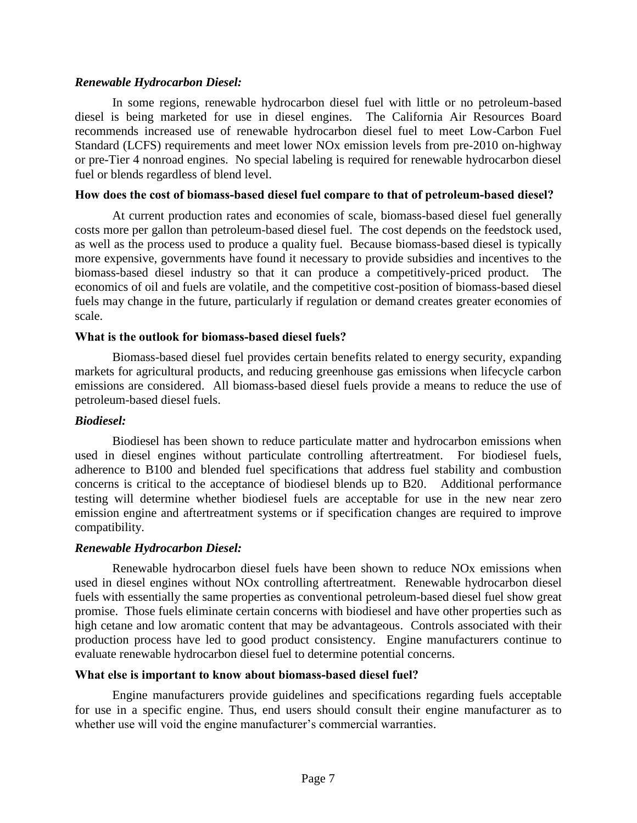## *Renewable Hydrocarbon Diesel:*

In some regions, renewable hydrocarbon diesel fuel with little or no petroleum-based diesel is being marketed for use in diesel engines. The California Air Resources Board recommends increased use of renewable hydrocarbon diesel fuel to meet Low-Carbon Fuel Standard (LCFS) requirements and meet lower NOx emission levels from pre-2010 on-highway or pre-Tier 4 nonroad engines. No special labeling is required for renewable hydrocarbon diesel fuel or blends regardless of blend level.

#### **How does the cost of biomass-based diesel fuel compare to that of petroleum-based diesel?**

At current production rates and economies of scale, biomass-based diesel fuel generally costs more per gallon than petroleum-based diesel fuel. The cost depends on the feedstock used, as well as the process used to produce a quality fuel. Because biomass-based diesel is typically more expensive, governments have found it necessary to provide subsidies and incentives to the biomass-based diesel industry so that it can produce a competitively-priced product. The economics of oil and fuels are volatile, and the competitive cost-position of biomass-based diesel fuels may change in the future, particularly if regulation or demand creates greater economies of scale.

## **What is the outlook for biomass-based diesel fuels?**

Biomass-based diesel fuel provides certain benefits related to energy security, expanding markets for agricultural products, and reducing greenhouse gas emissions when lifecycle carbon emissions are considered. All biomass-based diesel fuels provide a means to reduce the use of petroleum-based diesel fuels.

## *Biodiesel:*

Biodiesel has been shown to reduce particulate matter and hydrocarbon emissions when used in diesel engines without particulate controlling aftertreatment. For biodiesel fuels, adherence to B100 and blended fuel specifications that address fuel stability and combustion concerns is critical to the acceptance of biodiesel blends up to B20. Additional performance testing will determine whether biodiesel fuels are acceptable for use in the new near zero emission engine and aftertreatment systems or if specification changes are required to improve compatibility.

#### *Renewable Hydrocarbon Diesel:*

Renewable hydrocarbon diesel fuels have been shown to reduce NOx emissions when used in diesel engines without NOx controlling aftertreatment. Renewable hydrocarbon diesel fuels with essentially the same properties as conventional petroleum-based diesel fuel show great promise. Those fuels eliminate certain concerns with biodiesel and have other properties such as high cetane and low aromatic content that may be advantageous. Controls associated with their production process have led to good product consistency. Engine manufacturers continue to evaluate renewable hydrocarbon diesel fuel to determine potential concerns.

#### **What else is important to know about biomass-based diesel fuel?**

Engine manufacturers provide guidelines and specifications regarding fuels acceptable for use in a specific engine. Thus, end users should consult their engine manufacturer as to whether use will void the engine manufacturer's commercial warranties.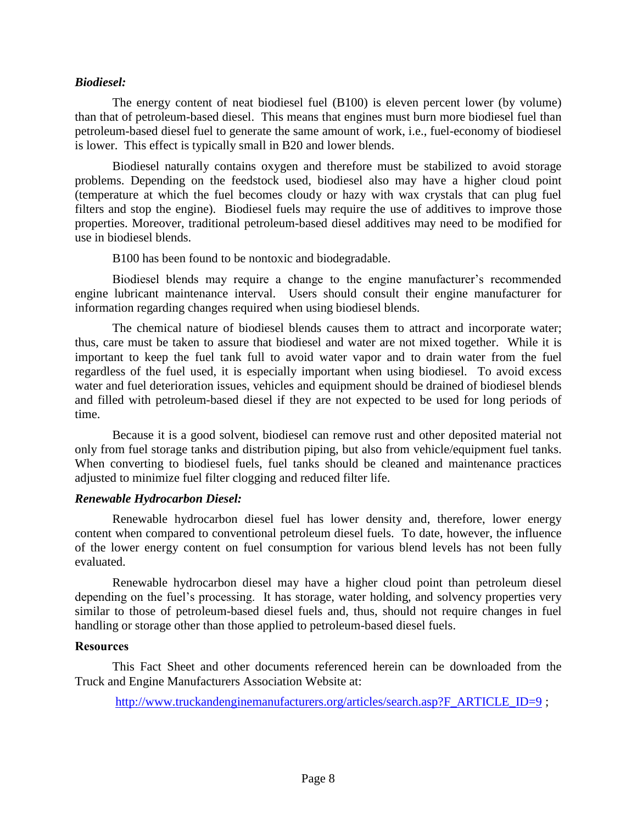#### *Biodiesel:*

The energy content of neat biodiesel fuel (B100) is eleven percent lower (by volume) than that of petroleum-based diesel. This means that engines must burn more biodiesel fuel than petroleum-based diesel fuel to generate the same amount of work, i.e., fuel-economy of biodiesel is lower. This effect is typically small in B20 and lower blends.

Biodiesel naturally contains oxygen and therefore must be stabilized to avoid storage problems. Depending on the feedstock used, biodiesel also may have a higher cloud point (temperature at which the fuel becomes cloudy or hazy with wax crystals that can plug fuel filters and stop the engine). Biodiesel fuels may require the use of additives to improve those properties. Moreover, traditional petroleum-based diesel additives may need to be modified for use in biodiesel blends.

B100 has been found to be nontoxic and biodegradable.

Biodiesel blends may require a change to the engine manufacturer's recommended engine lubricant maintenance interval. Users should consult their engine manufacturer for information regarding changes required when using biodiesel blends.

The chemical nature of biodiesel blends causes them to attract and incorporate water; thus, care must be taken to assure that biodiesel and water are not mixed together. While it is important to keep the fuel tank full to avoid water vapor and to drain water from the fuel regardless of the fuel used, it is especially important when using biodiesel. To avoid excess water and fuel deterioration issues, vehicles and equipment should be drained of biodiesel blends and filled with petroleum-based diesel if they are not expected to be used for long periods of time.

Because it is a good solvent, biodiesel can remove rust and other deposited material not only from fuel storage tanks and distribution piping, but also from vehicle/equipment fuel tanks. When converting to biodiesel fuels, fuel tanks should be cleaned and maintenance practices adjusted to minimize fuel filter clogging and reduced filter life.

#### *Renewable Hydrocarbon Diesel:*

Renewable hydrocarbon diesel fuel has lower density and, therefore, lower energy content when compared to conventional petroleum diesel fuels. To date, however, the influence of the lower energy content on fuel consumption for various blend levels has not been fully evaluated.

Renewable hydrocarbon diesel may have a higher cloud point than petroleum diesel depending on the fuel's processing. It has storage, water holding, and solvency properties very similar to those of petroleum-based diesel fuels and, thus, should not require changes in fuel handling or storage other than those applied to petroleum-based diesel fuels.

#### **Resources**

This Fact Sheet and other documents referenced herein can be downloaded from the Truck and Engine Manufacturers Association Website at:

[http://www.truckandenginemanufacturers.org/articles/search.asp?F\\_ARTICLE\\_ID=9](http://www.truckandenginemanufacturers.org/articles/search.asp?F_ARTICLE_ID=9) ;